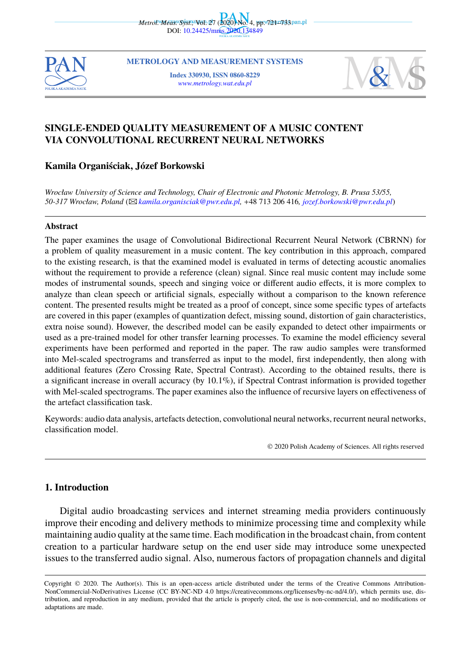



**METROLOGY AND MEASUREMENT SYSTEMS [Index 330930, ISSN 086](mailto:kamila.organisciak@pwr.edu.pl)0-8229** *www.metrology.wat.edu.pl*



## **SINGLE-ENDED QUALITY MEASUREMENT OF A MUSIC CONTENT VIA CONVOLUTIONAL RECURRENT NEURAL NETWORKS**

### **Kamila Organiściak, Józef Borkowski**

*Wrocław University of Science and Technology, Chair of Electronic and Photonic Metrology, B. Prusa 53/55, 50-317 Wrocław, Poland* (B*kamila.organisciak@pwr.edu.pl,* +48 713 206 416*, jozef.borkowski@pwr.edu.pl*)

#### **Abstract**

The paper examines the usage of Convolutional Bidirectional Recurrent Neural Network (CBRNN) for a problem of quality measurement in a music content. The key contribution in this approach, compared to the existing research, is that the examined model is evaluated in terms of detecting acoustic anomalies without the requirement to provide a reference (clean) signal. Since real music content may include some modes of instrumental sounds, speech and singing voice or different audio effects, it is more complex to analyze than clean speech or artificial signals, especially without a comparison to the known reference content. The presented results might be treated as a proof of concept, since some specific types of artefacts are covered in this paper (examples of quantization defect, missing sound, distortion of gain characteristics, extra noise sound). However, the described model can be easily expanded to detect other impairments or used as a pre-trained model for other transfer learning processes. To examine the model efficiency several experiments have been performed and reported in the paper. The raw audio samples were transformed into Mel-scaled spectrograms and transferred as input to the model, first independently, then along with additional features (Zero Crossing Rate, Spectral Contrast). According to the obtained results, there is a significant increase in overall accuracy (by 10.1%), if Spectral Contrast information is provided together with Mel-scaled spectrograms. The paper examines also the influence of recursive layers on effectiveness of the artefact classification task.

Keywords: audio data analysis, artefacts detection, convolutional neural networks, recurrent neural networks, classification model.

© 2020 Polish Academy of Sciences. All rights reserved

### **1. Introduction**

Digital audio broadcasting services and internet streaming media providers continuously improve their encoding and delivery methods to minimize processing time and complexity while maintaining audio quality at the same time. Each modification in the broadcast chain, from content creation to a particular hardware setup on the end user side may introduce some unexpected issues to the transferred audio signal. Also, numerous factors of propagation channels and digital

Copyright © 2020. The Author(s). This is an open-access article distributed under the terms of the Creative Commons Attribution-NonCommercial-NoDerivatives License (CC BY-NC-ND 4.0 https://creativecommons.org/licenses/by-nc-nd/4.0/), which permits use, distribution, and reproduction in any medium, provided that the article is properly cited, the use is non-commercial, and no modifications or adaptations are made.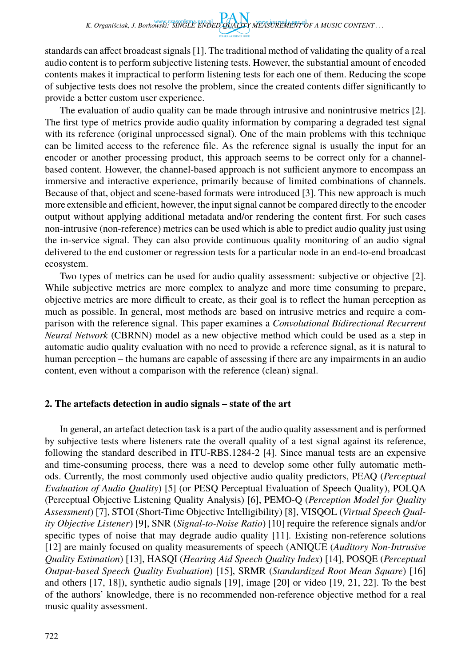standards can affect broadcast signals [1]. The traditional method of validating the quality of a real audio content is to perform subjective listening tests. However, the substantial amount of encoded contents makes it impractical to perform listening tests for each one of them. Reducing the scope of subjective tests does not resolve the problem, since the created contents differ significantly to provide a better custom user experience.

The evaluation of audio quality can be made through intrusive and nonintrusive metrics [2]. The first type of metrics provide audio quality information by comparing a degraded test signal with its reference (original unprocessed signal). One of the main problems with this technique can be limited access to the reference file. As the reference signal is usually the input for an encoder or another processing product, this approach seems to be correct only for a channelbased content. However, the channel-based approach is not sufficient anymore to encompass an immersive and interactive experience, primarily because of limited combinations of channels. Because of that, object and scene-based formats were introduced [3]. This new approach is much more extensible and efficient, however, the input signal cannot be compared directly to the encoder output without applying additional metadata and/or rendering the content first. For such cases non-intrusive (non-reference) metrics can be used which is able to predict audio quality just using the in-service signal. They can also provide continuous quality monitoring of an audio signal delivered to the end customer or regression tests for a particular node in an end-to-end broadcast ecosystem.

Two types of metrics can be used for audio quality assessment: subjective or objective [2]. While subjective metrics are more complex to analyze and more time consuming to prepare, objective metrics are more difficult to create, as their goal is to reflect the human perception as much as possible. In general, most methods are based on intrusive metrics and require a comparison with the reference signal. This paper examines a *Convolutional Bidirectional Recurrent Neural Network* (CBRNN) model as a new objective method which could be used as a step in automatic audio quality evaluation with no need to provide a reference signal, as it is natural to human perception – the humans are capable of assessing if there are any impairments in an audio content, even without a comparison with the reference (clean) signal.

## **2. The artefacts detection in audio signals – state of the art**

In general, an artefact detection task is a part of the audio quality assessment and is performed by subjective tests where listeners rate the overall quality of a test signal against its reference, following the standard described in ITU-RBS.1284-2 [4]. Since manual tests are an expensive and time-consuming process, there was a need to develop some other fully automatic methods. Currently, the most commonly used objective audio quality predictors, PEAQ (*Perceptual Evaluation of Audio Quality*) [5] (or PESQ Perceptual Evaluation of Speech Quality), POLQA (Perceptual Objective Listening Quality Analysis) [6], PEMO-Q (*Perception Model for Quality Assessment*) [7], STOI (Short-Time Objective Intelligibility) [8], VISQOL (*Virtual Speech Quality Objective Listener*) [9], SNR (*Signal-to-Noise Ratio*) [10] require the reference signals and/or specific types of noise that may degrade audio quality [11]. Existing non-reference solutions [12] are mainly focused on quality measurements of speech (ANIQUE (*Auditory Non-Intrusive Quality Estimation*) [13], HASQI (*Hearing Aid Speech Quality Index*) [14], POSQE (*Perceptual Output-based Speech Quality Evaluation*) [15], SRMR (*Standardized Root Mean Square*) [16] and others [17, 18]), synthetic audio signals [19], image [20] or video [19, 21, 22]. To the best of the authors' knowledge, there is no recommended non-reference objective method for a real music quality assessment.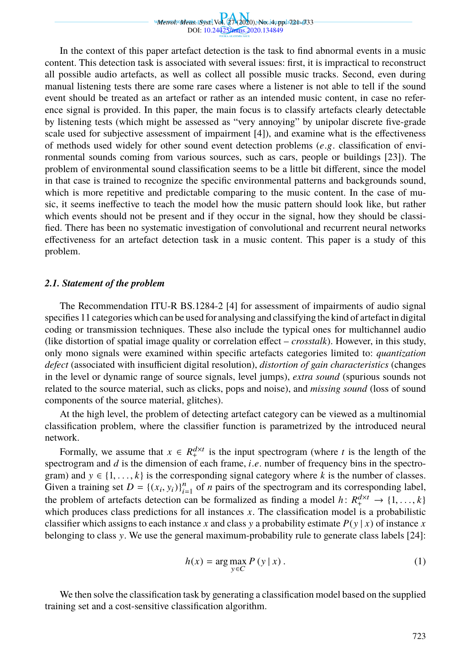*Metrol. Meas. Syst.,*Vol. 27 (2020), No. 4, pp. 721–733 DOI: 10.24425/mms.2020.134849

In the context of this paper artefact detection is the task to find abnormal events in a music content. This detection task is associated with several issues: first, it is impractical to reconstruct all possible audio artefacts, as well as collect all possible music tracks. Second, even during manual listening tests there are some rare cases where a listener is not able to tell if the sound event should be treated as an artefact or rather as an intended music content, in case no reference signal is provided. In this paper, the main focus is to classify artefacts clearly detectable by listening tests (which might be assessed as "very annoying" by unipolar discrete five-grade scale used for subjective assessment of impairment [4]), and examine what is the effectiveness of methods used widely for other sound event detection problems (*e*.g. classification of environmental sounds coming from various sources, such as cars, people or buildings [23]). The problem of environmental sound classification seems to be a little bit different, since the model in that case is trained to recognize the specific environmental patterns and backgrounds sound, which is more repetitive and predictable comparing to the music content. In the case of music, it seems ineffective to teach the model how the music pattern should look like, but rather which events should not be present and if they occur in the signal, how they should be classified. There has been no systematic investigation of convolutional and recurrent neural networks effectiveness for an artefact detection task in a music content. This paper is a study of this problem.

#### *2.1. Statement of the problem*

The Recommendation ITU-R BS.1284-2 [4] for assessment of impairments of audio signal specifies 11 categories which can be used for analysing and classifying the kind of artefact in digital coding or transmission techniques. These also include the typical ones for multichannel audio (like distortion of spatial image quality or correlation effect – *crosstalk*). However, in this study, only mono signals were examined within specific artefacts categories limited to: *quantization defect* (associated with insufficient digital resolution), *distortion of gain characteristics* (changes in the level or dynamic range of source signals, level jumps), *extra sound* (spurious sounds not related to the source material, such as clicks, pops and noise), and *missing sound* (loss of sound components of the source material, glitches).

At the high level, the problem of detecting artefact category can be viewed as a multinomial classification problem, where the classifier function is parametrized by the introduced neural network.

Formally, we assume that  $x \in R_+^{d \times t}$  is the input spectrogram (where *t* is the length of the spectrogram and *d* is the dimension of each frame, *i*.*e*. number of frequency bins in the spectrogram) and  $y \in \{1, \ldots, k\}$  is the corresponding signal category where *k* is the number of classes. Given a training set  $D = \{(x_i, y_i)\}_{i=1}^n$  of *n* pairs of the spectrogram and its corresponding label, the problem of artefacts detection can be formalized as finding a model  $h: R_+^{d \times t} \to \{1, ..., k\}$ which produces class predictions for all instances *x*. The classification model is a probabilistic classifier which assigns to each instance *x* and class *y* a probability estimate  $P(y | x)$  of instance *x* belonging to class y. We use the general maximum-probability rule to generate class labels [24]:

$$
h(x) = \arg\max_{y \in C} P(y | x).
$$
 (1)

We then solve the classification task by generating a classification model based on the supplied training set and a cost-sensitive classification algorithm.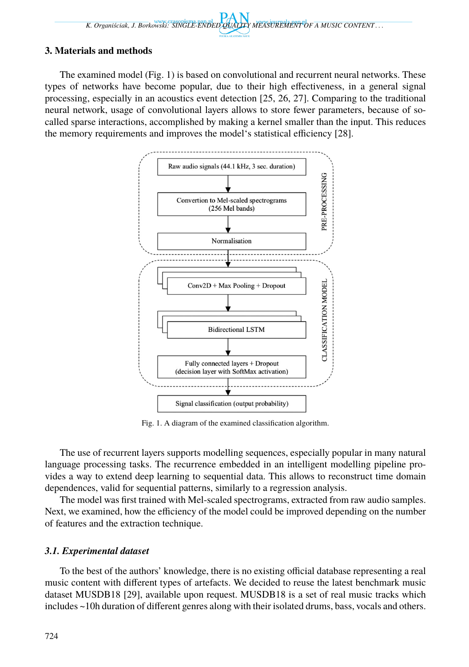## **3. Materials and methods**

The examined model (Fig. 1) is based on convolutional and recurrent neural networks. These types of networks have become popular, due to their high effectiveness, in a general signal processing, especially in an acoustics event detection [25, 26, 27]. Comparing to the traditional neural network, usage of convolutional layers allows to store fewer parameters, because of socalled sparse interactions, accomplished by making a kernel smaller than the input. This reduces the memory requirements and improves the model's statistical efficiency [28].



Fig. 1. A diagram of the examined classification algorithm.

The use of recurrent layers supports modelling sequences, especially popular in many natural language processing tasks. The recurrence embedded in an intelligent modelling pipeline provides a way to extend deep learning to sequential data. This allows to reconstruct time domain dependences, valid for sequential patterns, similarly to a regression analysis.

The model was first trained with Mel-scaled spectrograms, extracted from raw audio samples. Next, we examined, how the efficiency of the model could be improved depending on the number of features and the extraction technique.

## *3.1. Experimental dataset*

To the best of the authors' knowledge, there is no existing official database representing a real music content with different types of artefacts. We decided to reuse the latest benchmark music dataset MUSDB18 [29], available upon request. MUSDB18 is a set of real music tracks which includes ~10h duration of different genres along with their isolated drums, bass, vocals and others.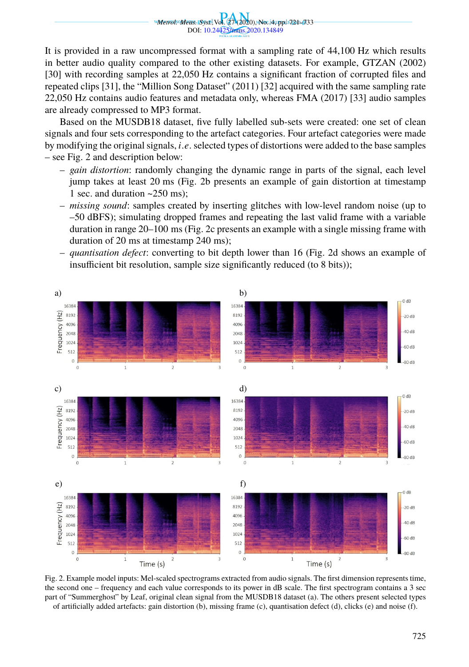*Metrol. Meas. Syst.,*Vol. 27 (2020), No. 4, pp. 721–733 DOI: 10.24425/mms.2020.134849

It is provided in a raw uncompressed format with a sampling rate of 44,100 Hz which results in better audio quality compared to the other existing datasets. For example, GTZAN (2002) [30] with recording samples at 22,050 Hz contains a significant fraction of corrupted files and repeated clips [31], the "Million Song Dataset" (2011) [32] acquired with the same sampling rate 22,050 Hz contains audio features and metadata only, whereas FMA (2017) [33] audio samples are already compressed to MP3 format.

Based on the MUSDB18 dataset, five fully labelled sub-sets were created: one set of clean signals and four sets corresponding to the artefact categories. Four artefact categories were made by modifying the original signals, *i*.*e*. selected types of distortions were added to the base samples – see Fig. 2 and description below:

- *gain distortion*: randomly changing the dynamic range in parts of the signal, each level jump takes at least 20 ms (Fig. 2b presents an example of gain distortion at timestamp 1 sec. and duration  $\approx$  250 ms);
- *missing sound*: samples created by inserting glitches with low-level random noise (up to –50 dBFS); simulating dropped frames and repeating the last valid frame with a variable duration in range 20–100 ms (Fig. 2c presents an example with a single missing frame with duration of 20 ms at timestamp 240 ms);
- *quantisation defect*: converting to bit depth lower than 16 (Fig. 2d shows an example of insufficient bit resolution, sample size significantly reduced (to 8 bits));



Fig. 2. Example model inputs: Mel-scaled spectrograms extracted from audio signals. The first dimension represents time, the second one – frequency and each value corresponds to its power in dB scale. The first spectrogram contains a 3 sec part of "Summerghost" by Leaf, original clean signal from the MUSDB18 dataset (a). The others present selected types of artificially added artefacts: gain distortion (b), missing frame (c), quantisation defect (d), clicks (e) and noise (f).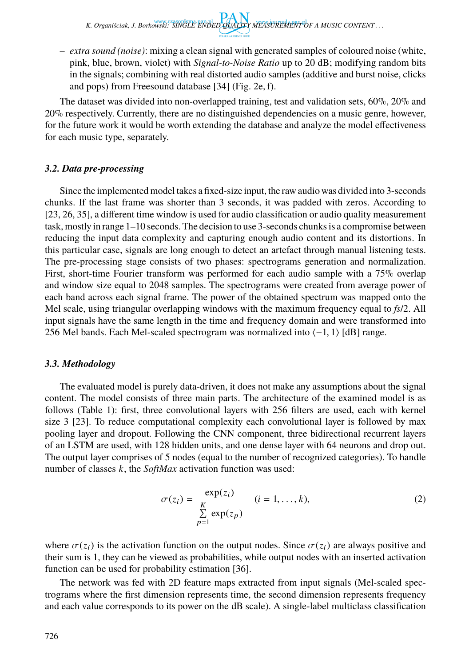– *extra sound (noise)*: mixing a clean signal with generated samples of coloured noise (white, pink, blue, brown, violet) with *Signal-to-Noise Ratio* up to 20 dB; modifying random bits in the signals; combining with real distorted audio samples (additive and burst noise, clicks and pops) from Freesound database [34] (Fig. 2e, f).

The dataset was divided into non-overlapped training, test and validation sets, 60%, 20% and 20% respectively. Currently, there are no distinguished dependencies on a music genre, however, for the future work it would be worth extending the database and analyze the model effectiveness for each music type, separately.

## *3.2. Data pre-processing*

Since the implemented model takes a fixed-size input, the raw audio was divided into 3-seconds chunks. If the last frame was shorter than 3 seconds, it was padded with zeros. According to [23, 26, 35], a different time window is used for audio classification or audio quality measurement task, mostly in range 1–10 seconds. The decision to use 3-seconds chunks is a compromise between reducing the input data complexity and capturing enough audio content and its distortions. In this particular case, signals are long enough to detect an artefact through manual listening tests. The pre-processing stage consists of two phases: spectrograms generation and normalization. First, short-time Fourier transform was performed for each audio sample with a 75% overlap and window size equal to 2048 samples. The spectrograms were created from average power of each band across each signal frame. The power of the obtained spectrum was mapped onto the Mel scale, using triangular overlapping windows with the maximum frequency equal to *fs*/2. All input signals have the same length in the time and frequency domain and were transformed into 256 Mel bands. Each Mel-scaled spectrogram was normalized into ⟨−1, 1⟩ [dB] range.

# *3.3. Methodology*

The evaluated model is purely data-driven, it does not make any assumptions about the signal content. The model consists of three main parts. The architecture of the examined model is as follows (Table 1): first, three convolutional layers with 256 filters are used, each with kernel size 3 [23]. To reduce computational complexity each convolutional layer is followed by max pooling layer and dropout. Following the CNN component, three bidirectional recurrent layers of an LSTM are used, with 128 hidden units, and one dense layer with 64 neurons and drop out. The output layer comprises of 5 nodes (equal to the number of recognized categories). To handle number of classes *k*, the *SoftMax* activation function was used:

$$
\sigma(z_i) = \frac{\exp(z_i)}{\sum_{p=1}^K \exp(z_p)} \quad (i = 1, \dots, k),
$$
\n(2)

where  $\sigma(z_i)$  is the activation function on the output nodes. Since  $\sigma(z_i)$  are always positive and their sum is 1, they can be viewed as probabilities, while output nodes with an inserted activation function can be used for probability estimation [36].

The network was fed with 2D feature maps extracted from input signals (Mel-scaled spectrograms where the first dimension represents time, the second dimension represents frequency and each value corresponds to its power on the dB scale). A single-label multiclass classification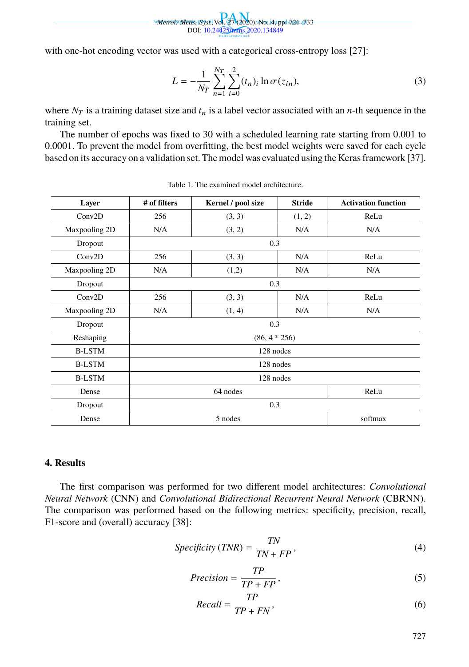*Metrol. Meas. Syst.,*Vol. 27 (2020), No. 4, pp. 721–733 DOI: 10.24425/mms.2020.134849

with one-hot encoding vector was used with a categorical cross-entropy loss [27]:

$$
L = -\frac{1}{N_T} \sum_{n=1}^{N_T} \sum_{i=0}^{2} (t_n)_i \ln \sigma(z_{in}),
$$
\n(3)

where  $N_T$  is a training dataset size and  $t_n$  is a label vector associated with an *n*-th sequence in the training set.

The number of epochs was fixed to 30 with a scheduled learning rate starting from 0.001 to 0.0001. To prevent the model from overfitting, the best model weights were saved for each cycle based on its accuracy on a validation set. The model was evaluated using the Keras framework [37].

| Layer         | # of filters       | Kernel / pool size | <b>Stride</b> | <b>Activation function</b> |  |  |  |
|---------------|--------------------|--------------------|---------------|----------------------------|--|--|--|
| Conv2D        | 256                | (3, 3)             | (1, 2)        | ReLu                       |  |  |  |
| Maxpooling 2D | N/A                | (3, 2)             | N/A           | N/A                        |  |  |  |
| Dropout       | 0.3                |                    |               |                            |  |  |  |
| Conv2D        | 256                | (3, 3)             | N/A           | ReLu                       |  |  |  |
| Maxpooling 2D | N/A                | (1,2)              | N/A           | N/A                        |  |  |  |
| Dropout       | 0.3                |                    |               |                            |  |  |  |
| Conv2D        | 256                | (3, 3)             | N/A           | ReLu                       |  |  |  |
| Maxpooling 2D | N/A                | (1, 4)             | N/A           | N/A                        |  |  |  |
| Dropout       | 0.3                |                    |               |                            |  |  |  |
| Reshaping     | $(86, 4 * 256)$    |                    |               |                            |  |  |  |
| <b>B-LSTM</b> | 128 nodes          |                    |               |                            |  |  |  |
| <b>B-LSTM</b> | 128 nodes          |                    |               |                            |  |  |  |
| <b>B-LSTM</b> | 128 nodes          |                    |               |                            |  |  |  |
| Dense         | 64 nodes<br>ReLu   |                    |               |                            |  |  |  |
| Dropout       | 0.3                |                    |               |                            |  |  |  |
| Dense         | softmax<br>5 nodes |                    |               |                            |  |  |  |

Table 1. The examined model architecture.

## **4. Results**

The first comparison was performed for two different model architectures: *Convolutional Neural Network* (CNN) and *Convolutional Bidirectional Recurrent Neural Network* (CBRNN). The comparison was performed based on the following metrics: specificity, precision, recall, F1-score and (overall) accuracy [38]:

 $\overline{m}$ 

$$
Specificity (TNR) = \frac{TN}{TN + FP},
$$
\n(4)

$$
Precision = \frac{TP}{TP + FP},\tag{5}
$$

$$
Recall = \frac{IP}{TP + FN},\tag{6}
$$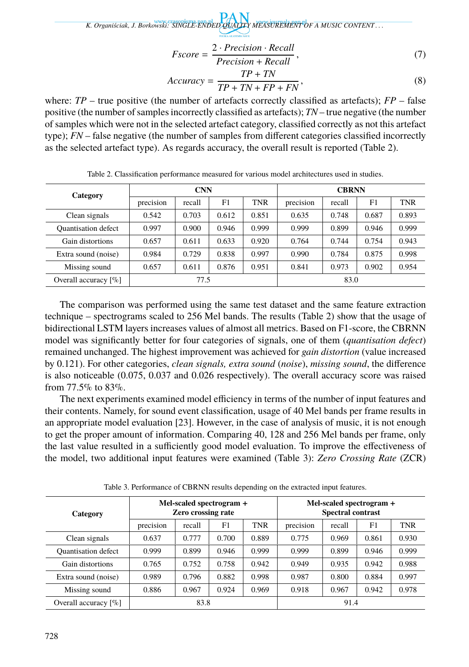$$
Fscore = \frac{2 \cdot Precision \cdot Recall}{Precision + Recall},
$$
\n(7)

$$
Accuracy = \frac{TP + TN}{TP + TN + FP + FN},
$$
\n(8)

where:  $TP$  – true positive (the number of artefacts correctly classified as artefacts);  $FP$  – false positive (the number of samples incorrectly classified as artefacts); *TN* – true negative (the number of samples which were not in the selected artefact category, classified correctly as not this artefact type); *FN* – false negative (the number of samples from different categories classified incorrectly as the selected artefact type). As regards accuracy, the overall result is reported (Table 2).

| Category                   | <b>CNN</b> |        |                | <b>CBRNN</b> |           |        |       |       |
|----------------------------|------------|--------|----------------|--------------|-----------|--------|-------|-------|
|                            | precision  | recall | F <sub>1</sub> | <b>TNR</b>   | precision | recall | F1    | TNR   |
| Clean signals              | 0.542      | 0.703  | 0.612          | 0.851        | 0.635     | 0.748  | 0.687 | 0.893 |
| <b>Quantisation defect</b> | 0.997      | 0.900  | 0.946          | 0.999        | 0.999     | 0.899  | 0.946 | 0.999 |
| Gain distortions           | 0.657      | 0.611  | 0.633          | 0.920        | 0.764     | 0.744  | 0.754 | 0.943 |
| Extra sound (noise)        | 0.984      | 0.729  | 0.838          | 0.997        | 0.990     | 0.784  | 0.875 | 0.998 |
| Missing sound              | 0.657      | 0.611  | 0.876          | 0.951        | 0.841     | 0.973  | 0.902 | 0.954 |
| Overall accuracy $[\%]$    | 77.5       |        |                | 83.0         |           |        |       |       |

Table 2. Classification performance measured for various model architectures used in studies.

The comparison was performed using the same test dataset and the same feature extraction technique – spectrograms scaled to 256 Mel bands. The results (Table 2) show that the usage of bidirectional LSTM layers increases values of almost all metrics. Based on F1-score, the CBRNN model was significantly better for four categories of signals, one of them (*quantisation defect*) remained unchanged. The highest improvement was achieved for *gain distortion* (value increased by 0.121). For other categories, *clean signals, extra sound* (*noise*), *missing sound*, the difference is also noticeable (0.075, 0.037 and 0.026 respectively). The overall accuracy score was raised from 77.5% to 83%.

The next experiments examined model efficiency in terms of the number of input features and their contents. Namely, for sound event classification, usage of 40 Mel bands per frame results in an appropriate model evaluation [23]. However, in the case of analysis of music, it is not enough to get the proper amount of information. Comparing 40, 128 and 256 Mel bands per frame, only the last value resulted in a sufficiently good model evaluation. To improve the effectiveness of the model, two additional input features were examined (Table 3): *Zero Crossing Rate* (ZCR)

| Category                            | Mel-scaled spectrogram +<br><b>Zero crossing rate</b> |        |       | Mel-scaled spectrogram +<br><b>Spectral contrast</b> |           |        |       |       |
|-------------------------------------|-------------------------------------------------------|--------|-------|------------------------------------------------------|-----------|--------|-------|-------|
|                                     | precision                                             | recall | F1    | <b>TNR</b>                                           | precision | recall | F1    | TNR   |
| Clean signals                       | 0.637                                                 | 0.777  | 0.700 | 0.889                                                | 0.775     | 0.969  | 0.861 | 0.930 |
| <b>Ouantisation</b> defect          | 0.999                                                 | 0.899  | 0.946 | 0.999                                                | 0.999     | 0.899  | 0.946 | 0.999 |
| Gain distortions                    | 0.765                                                 | 0.752  | 0.758 | 0.942                                                | 0.949     | 0.935  | 0.942 | 0.988 |
| Extra sound (noise)                 | 0.989                                                 | 0.796  | 0.882 | 0.998                                                | 0.987     | 0.800  | 0.884 | 0.997 |
| Missing sound                       | 0.886                                                 | 0.967  | 0.924 | 0.969                                                | 0.918     | 0.967  | 0.942 | 0.978 |
| Overall accuracy $\lceil \% \rceil$ | 83.8                                                  |        |       | 91.4                                                 |           |        |       |       |

Table 3. Performance of CBRNN results depending on the extracted input features.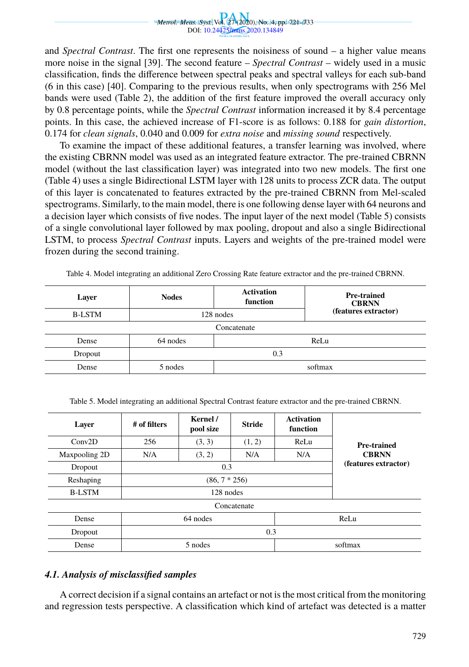

and *Spectral Contrast*. The first one represents the noisiness of sound – a higher value means more noise in the signal [39]. The second feature – *Spectral Contrast* – widely used in a music classification, finds the difference between spectral peaks and spectral valleys for each sub-band (6 in this case) [40]. Comparing to the previous results, when only spectrograms with 256 Mel bands were used (Table 2), the addition of the first feature improved the overall accuracy only by 0.8 percentage points, while the *Spectral Contrast* information increased it by 8.4 percentage points. In this case, the achieved increase of F1-score is as follows: 0.188 for *gain distortion*, 0.174 for *clean signals*, 0.040 and 0.009 for *extra noise* and *missing sound* respectively.

To examine the impact of these additional features, a transfer learning was involved, where the existing CBRNN model was used as an integrated feature extractor. The pre-trained CBRNN model (without the last classification layer) was integrated into two new models. The first one (Table 4) uses a single Bidirectional LSTM layer with 128 units to process ZCR data. The output of this layer is concatenated to features extracted by the pre-trained CBRNN from Mel-scaled spectrograms. Similarly, to the main model, there is one following dense layer with 64 neurons and a decision layer which consists of five nodes. The input layer of the next model (Table 5) consists of a single convolutional layer followed by max pooling, dropout and also a single Bidirectional LSTM, to process *Spectral Contrast* inputs. Layers and weights of the pre-trained model were frozen during the second training.

| Layer         | <b>Nodes</b>     | <b>Activation</b><br>function | <b>Pre-trained</b><br><b>CBRNN</b> |  |  |  |  |
|---------------|------------------|-------------------------------|------------------------------------|--|--|--|--|
| <b>B-LSTM</b> | 128 nodes        |                               | (features extractor)               |  |  |  |  |
| Concatenate   |                  |                               |                                    |  |  |  |  |
| Dense         | 64 nodes<br>ReLu |                               |                                    |  |  |  |  |
| Dropout       | 0.3              |                               |                                    |  |  |  |  |
| Dense         | 5 nodes          | softmax                       |                                    |  |  |  |  |

Table 4. Model integrating an additional Zero Crossing Rate feature extractor and the pre-trained CBRNN.

| Table 5. Model integrating an additional Spectral Contrast feature extractor and the pre-trained CBRNN. |  |  |
|---------------------------------------------------------------------------------------------------------|--|--|
|                                                                                                         |  |  |

| Layer         | # of filters | Kernel /<br>pool size | <b>Stride</b> | <b>Activation</b><br>function |                                      |  |  |
|---------------|--------------|-----------------------|---------------|-------------------------------|--------------------------------------|--|--|
| Conv2D        | 256          | (3, 3)                | ReLu          | <b>Pre-trained</b>            |                                      |  |  |
| Maxpooling 2D | N/A          | (3, 2)                | N/A           | N/A                           | <b>CBRNN</b><br>(features extractor) |  |  |
| Dropout       |              | 0.3                   |               |                               |                                      |  |  |
| Reshaping     |              |                       |               |                               |                                      |  |  |
| <b>B-LSTM</b> |              |                       |               |                               |                                      |  |  |
| Concatenate   |              |                       |               |                               |                                      |  |  |
| Dense         | 64 nodes     |                       |               |                               | ReLu                                 |  |  |
| Dropout       | 0.3          |                       |               |                               |                                      |  |  |
| Dense         | 5 nodes      |                       |               |                               | softmax                              |  |  |

#### *4.1. Analysis of misclassified samples*

A correct decision if a signal contains an artefact or not is the most critical from the monitoring and regression tests perspective. A classification which kind of artefact was detected is a matter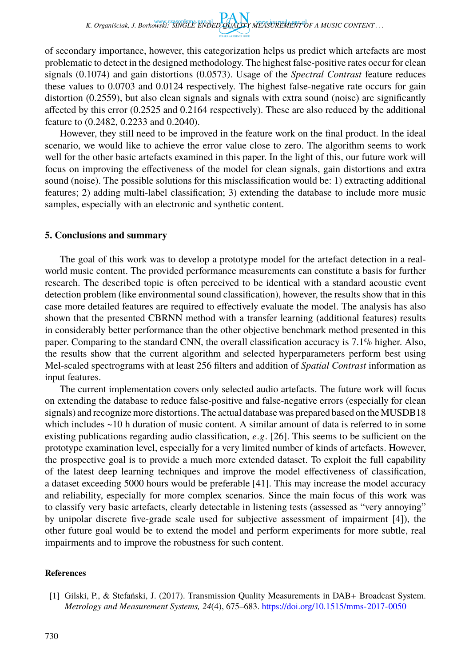of secondary importance, however, this categorization helps us predict which artefacts are most problematic to detect in the designed methodology. The highest false-positive rates occur for clean signals (0.1074) and gain distortions (0.0573). Usage of the *Spectral Contrast* feature reduces these values to 0.0703 and 0.0124 respectively. The highest false-negative rate occurs for gain distortion (0.2559), but also clean signals and signals with extra sound (noise) are significantly affected by this error (0.2525 and 0.2164 respectively). These are also reduced by the additional feature to (0.2482, 0.2233 and 0.2040).

However, they still need to be improved in the feature work on the final product. In the ideal scenario, we would like to achieve the error value close to zero. The algorithm seems to work well for the other basic artefacts examined in this paper. In the light of this, our future work will focus on improving the effectiveness of the model for clean signals, gain distortions and extra sound (noise). The possible solutions for this misclassification would be: 1) extracting additional features; 2) adding multi-label classification; 3) extending the database to include more music samples, especially with an electronic and synthetic content.

#### **5. Conclusions and summary**

The goal of this work was to develop a prototype model for the artefact detection in a realworld music content. The provided performance measurements can constitute a basis for further research. The described topic is often perceived to be identical with a standard acoustic event detection problem (like environmental sound classification), however, the results show that in this case more detailed features are required to effectively evaluate the model. The analysis has also shown that the presented CBRNN method with a transfer learning (additional features) results in considerably better performance than the other objective benchmark method presented in this paper. Comparing to the standard CNN, the overall classification accuracy is 7.1% higher. Also, the results show that the current algorithm and selected hyperparameters perform best using Mel-scaled spectrograms with at least 256 filters and addition of *Spatial Contrast* information as input features.

The current implementation covers only selected audio artefacts. The future work will focus on extending the database to reduce false-positive and false-negative errors (especially for clean signals) and recognize more distortions. The actual database was prepared based on the MUSDB18 which includes ~10 h duration of music content. A similar amount of data is referred to in some existing publications regarding audio classification, *e*.g. [26]. This seems to be sufficient on the prototype examination level, especially for a very limited number of kinds of artefacts. However, the prospective goal is to provide a much more extended dataset. To exploit the full capability of the latest deep learning techniques and improve the model effectiveness of classification, a dataset exceeding 5000 hours would be preferable [4[1\]. This may increase the model accu](https://doi.org/10.1515/mms-2017-0050)racy and reliability, especially for more complex scenarios. Since the main focus of this work was to classify very basic artefacts, clearly detectable in listening tests (assessed as "very annoying" by unipolar discrete five-grade scale used for subjective assessment of impairment [4]), the other future goal would be to extend the model and perform experiments for more subtle, real impairments and to improve the robustness for such content.

### **References**

<sup>[1]</sup> Gilski, P., & Stefański, J. (2017). Transmission Quality Measurements in DAB+ Broadcast System. *Metrology and Measurement Systems, 24*(4), 675–683. https://doi.org/10.1515/mms-2017-0050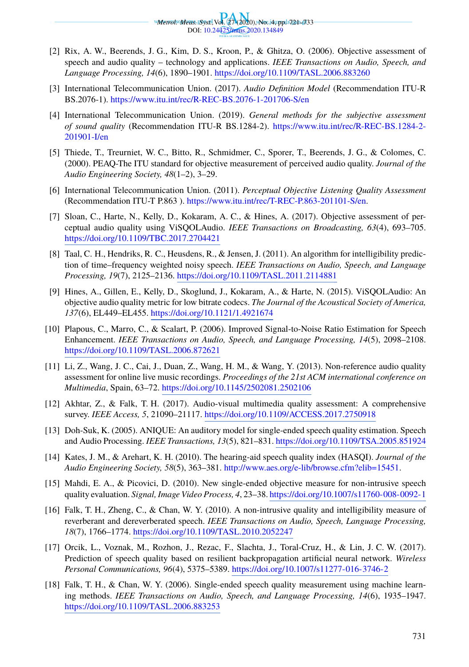

- [2] Rix, A. W., Beerends, J. G., Kim, D. S., Kroon, P., & Ghitza, O. (2006). Objective assessment of speech and audio quality – technology and applications. *IEEE Transactions on Audio, Speech, and Language Processing, 14*(6), 1890–1901. [https://doi.org/10.1109/TASL.2006.883260](https://www.itu.int/rec/T-REC-P.863-201101-S/en)
- [3] International Telecommunication Union. (2017). *Audio Definition Model* (Recommendation ITU-R BS.2076-1). https://www.itu.int/rec/R-REC-BS.2076-1-201706-S/en
- [4] [International Telecommunication Union. \(](https://doi.org/10.1109/TBC.2017.2704421)2019). *General methods for the subjective assessment of sound quality* (Recommendation ITU-R BS.1284-2). https://www.itu.int/rec/R-REC-BS.1284-2- 201901-I/en
- [5] Thiede, T., Treurniet, W. C., [Bitto, R., Schmidmer, C., Sporer, T., Beerend](https://doi.org/10.1109/TASL.2011.2114881)s, J. G., & Colomes, C. (2000). PEAQ-The ITU standard for objective measurement of perceived audio quality. *Journal of the Audio Engineering Society, 48*(1–2), 3–29.
- [6] International Telecom[munication Union. \(2011\).](https://doi.org/10.1121/1.4921674) *Perceptual Objective Listening Quality Assessment* (Recommendation ITU-T P.863 ). https://www.itu.int/rec/T-REC-P.863-201101-S/en.
- [7] Sloan, C., Harte, N., Kelly, D., Kokaram, A. C., & Hines, A. (2017). Objective assessment of per[ceptual audio quality using ViSQOLAudio](https://doi.org/10.1109/TASL.2006.872621). *IEEE Transactions on Broadcasting, 63*(4), 693–705. https://doi.org/10.1109/TBC.2017.2704421
- [8] Taal, C. H., Hendriks, R. C., Heusdens, R., & Jensen, J. (2011). An algorithm for intelligibility prediction of time–frequency weighted noisy speech. *[IEEE Transactions o](https://doi.org/10.1145/2502081.2502106)n Audio, Speech, and Language Processing, 19*(7), 2125–2136. https://doi.org/10.1109/TASL.2011.2114881
- [9] Hines, A., Gillen, E., Kelly, D., Skogl[und, J., Kokaram, A., & Harte, N. \(2015\). ViSQ](https://doi.org/10.1109/ACCESS.2017.2750918)OLAudio: An objective audio quality metric for low bitrate codecs. *The Journal of the Acoustical Society of America, 137*(6), EL449–EL455. https://doi.org/10.1121/1.4921674
- [10] Plapous, C., Marro, C., & Scalart, P. (2006). Improved Signal-to-Noise Ratio Estimation for Speech Enhancement. *IEEE Transactions on Audio[, Speech, and Language Processing, 14](http://www.aes.org/e-lib/browse.cfm?elib=15451)*(5), 2098–2108. https://doi.org/10.1109/TASL.2006.872621
- [11] Li, Z., Wang, J. C., Cai, J., Duan, Z., Wang, H. M., & Wang, Y. (2013). Non-reference audio quality assessment for online live music recordings. *Proceedings [of the 21st ACM international conference on](https://doi.org/10.1007/s11760-008-0092-1) Multimedia*, Spain, 63–72. https://doi.org/10.1145/2502081.2502106
- [12] Akhtar, Z., & Fal[k, T. H. \(2017\). Audio-visual multimedia qu](https://doi.org/10.1109/TASL.2010.2052247)ality assessment: A comprehensive survey. *IEEE Access, 5*, 21090–21117. https://doi.org/10.1109/ACCESS.2017.2750918
- [13] Doh-Suk, K. (2005). ANIQUE: An auditory model for single-ended speech quality estimation. Speech and Audio Processing. *IEEE Transactions, 13*(5), 821–831. [https://doi.org/10.1109/TSA.200](https://doi.org/10.1007/s11277-016-3746-2)5.851924
- [14] Kates, J. M., & Arehart, K. H. (2010). The hearing-aid speech quality index (HASQI). *Journal of the Audio Engineering Society, 58*(5), 363–381. http://www.aes.org/e-lib/browse.cfm?elib=15451.
- [15] [Mahdi, E. A., & Picovici, D. \(2010\). New](https://doi.org/10.1109/TASL.2006.883253) single-ended objective measure for non-intrusive speech quality evaluation. *Signal, Image Video Process, 4*, 23–38. https://doi.org/10.1007/s11760-008-0092-1
- [16] Falk, T. H., Zheng, C., & Chan, W. Y. (2010). A non-intrusive quality and intelligibility measure of reverberant and dereverberated speech. *IEEE Transactions on Audio, Speech, Language Processing, 18*(7), 1766–1774. https://doi.org/10.1109/TASL.2010.2052247
- [17] Orcik, L., Voznak, M., Rozhon, J., Rezac, F., Slachta, J., Toral-Cruz, H., & Lin, J. C. W. (2017). Prediction of speech quality based on resilient backpropagation artificial neural network. *Wireless Personal Communications, 96*(4), 5375–5389. https://doi.org/10.1007/s11277-016-3746-2
- [18] Falk, T. H., & Chan, W. Y. (2006). Single-ended speech quality measurement using machine learning methods. *IEEE Transactions on Audio, Speech, and Language Processing, 14*(6), 1935–1947. https://doi.org/10.1109/TASL.2006.883253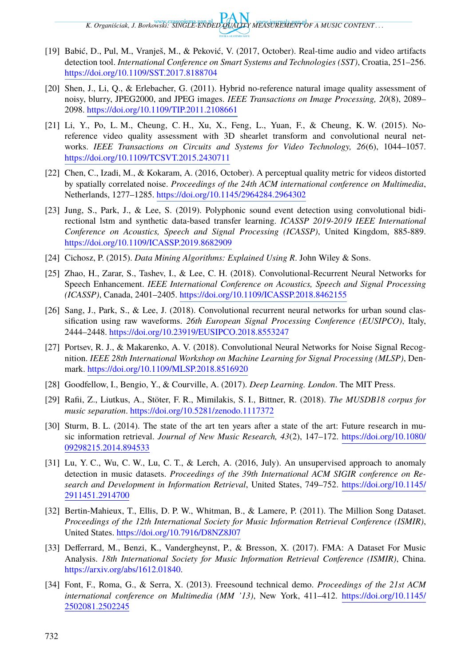- [19] Babić, D., Pul, M., Vranješ, M., & Peković, V. (2017, October). Real-time audio and video artifacts detection tool. *International Conference on Smart Systems and Technologies (SST)*, Croatia, 251–256. https://doi.org/10.1109/S[ST.2017.8188704](https://doi.org/10.1145/2964284.2964302)
- [20] Shen, J., Li, Q., & Erlebacher, G. (2011). Hybrid no-reference natural image quality assessment of noisy, blurry, JPEG2000, and JPEG images. *IEEE Transactions on Image Processing, 20*(8), 2089– 2098. https://doi.org/10.1109/TIP.2011.2108661
- [21] [Li, Y., Po, L. M., Cheung, C. H., Xu, X., F](https://doi.org/10.1109/ICASSP.2019.8682909)eng, L., Yuan, F., & Cheung, K. W. (2015). Noreference video quality assessment with 3D shearlet transform and convolutional neural networks. *IEEE Transactions on Circuits and Systems for Video Technology, 26*(6), 1044–1057. https://doi.org/10.1109/TCSVT.2015.2430711
- [22] Chen, C., Izadi, M., & Kokara[m, A. \(2016, October\). A perceptual quality metr](https://doi.org/10.1109/ICASSP.2018.8462155)ic for videos distorted by spatially correlated noise. *Proceedings of the 24th ACM international conference on Multimedia*, Netherlands, 1277–1285. https://doi.org/10.1145/2964284.2964302
- [23] Jung, S., Pa[rk, J., & Lee, S. \(2019\). Polyphonic sound even](https://doi.org/10.23919/EUSIPCO.2018.8553247)t detection using convolutional bidirectional lstm and synthetic data-based transfer learning. *ICASSP 2019-2019 IEEE International Conference on Acoustics, Speech and Signal Processing (ICASSP)*, United Kingdom, 885-889. https:/[/doi.org/10.1109/ICASSP.2019.8682909](https://doi.org/10.1109/MLSP.2018.8516920)
- [24] Cichosz, P. (2015). *Data Mining Algorithms: Explained Using R*. John Wiley & Sons.
- [25] Zhao, H., Zarar, S., Tashev, I., & Lee, C. H. (2018). Convolutional-Recurrent Neural Networks for Speech Enhancement. *[IEEE International Conference on](https://doi.org/10.5281/zenodo.1117372) Acoustics, Speech and Signal Processing (ICASSP)*, Canada, 2401–2405. https://doi.org/10.1109/ICASSP.2018.8462155
- [26] Sang, J., Park, S., & Lee, J. (2018). Convolutional recurrent neural networ[ks for urban sound clas](https://doi.org/10.1080/09298215.2014.894533)[sification using raw wa](https://doi.org/10.1080/09298215.2014.894533)veforms. *26th European Signal Processing Conference (EUSIPCO)*, Italy, 2444–2448. https://doi.org/10.23919/EUSIPCO.2018.8553247
- [27] Portsev, R. J., & Makarenko, A. V. (2018). Convolutional Neural Networks for Noise Signal Recognition. *IEEE 28th International Workshop on Machine Learning for Signal P[rocessing \(MLSP\)](https://doi.org/10.1145/2911451.2914700)*, Denmark. [https://doi.o](https://doi.org/10.1145/2911451.2914700)rg/10.1109/MLSP.2018.8516920
- [28] Goodfellow, I., Bengio, Y., & Courville, A. (2017). *Deep Learning. London*. The MIT Press.
- [29] Rafii, Z., Liutkus, A., Stöter, F. R., Mimilakis, S. I., Bittner, R. (2018). *The MUSDB18 corpus for music separation*. [https://doi.org/10.5281/zenodo.](https://doi.org/10.7916/D8NZ8J07)1117372
- [30] Sturm, B. L. (2014). The state of the art ten years after a state of the art: Future research in music information retrieval. *Journal of New Music Research, 43*(2), 147–172. https://doi.org/10.1080/ [09298215.2014.894533](https://arxiv.org/abs/1612.01840)
- [31] Lu, Y. C., Wu, C. W., Lu, C. T., & Lerch, A. (2016, July). An unsupervised approach to anomaly detection in music datasets. *Proceedings of the 39th International ACM SI[GIR conference on Re](https://doi.org/10.1145/2502081.2502245)[search and Develo](https://doi.org/10.1145/2502081.2502245)pment in Information Retrieval*, United States, 749–752. https://doi.org/10.1145/ 2911451.2914700
- [32] Bertin-Mahieux, T., Ellis, D. P. W., Whitman, B., & Lamere, P. (2011). The Million Song Dataset. *Proceedings of the 12th International Society for Music Information Retrieval Conference (ISMIR)*, United States. https://doi.org/10.7916/D8NZ8J07
- [33] Defferrard, M., Benzi, K., Vandergheynst, P., & Bresson, X. (2017). FMA: A Dataset For Music Analysis. *18th International Society for Music Information Retrieval Conference (ISMIR)*, China. https://arxiv.org/abs/1612.01840.
- [34] Font, F., Roma, G., & Serra, X. (2013). Freesound technical demo. *Proceedings of the 21st ACM international conference on Multimedia (MM '13)*, New York, 411–412. https://doi.org/10.1145/ 2502081.2502245